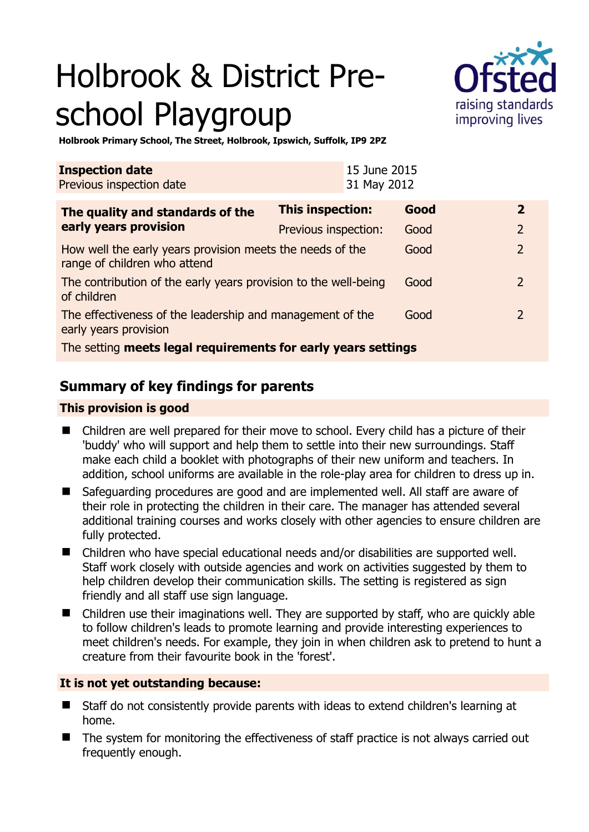# Holbrook & District Preschool Playgroup



**Holbrook Primary School, The Street, Holbrook, Ipswich, Suffolk, IP9 2PZ** 

| <b>Inspection date</b><br>Previous inspection date                                        |                      | 15 June 2015<br>31 May 2012 |      |                          |
|-------------------------------------------------------------------------------------------|----------------------|-----------------------------|------|--------------------------|
| The quality and standards of the<br>early years provision                                 | This inspection:     |                             | Good | $\mathbf{2}$             |
|                                                                                           | Previous inspection: |                             | Good | $\overline{2}$           |
| How well the early years provision meets the needs of the<br>range of children who attend |                      |                             | Good | $\overline{\phantom{0}}$ |
| The contribution of the early years provision to the well-being<br>of children            |                      |                             | Good | $\overline{2}$           |
| The effectiveness of the leadership and management of the<br>early years provision        |                      |                             | Good | 2                        |
| The setting meets legal requirements for early years settings                             |                      |                             |      |                          |

# **Summary of key findings for parents**

## **This provision is good**

- Children are well prepared for their move to school. Every child has a picture of their 'buddy' who will support and help them to settle into their new surroundings. Staff make each child a booklet with photographs of their new uniform and teachers. In addition, school uniforms are available in the role-play area for children to dress up in.
- Safeguarding procedures are good and are implemented well. All staff are aware of their role in protecting the children in their care. The manager has attended several additional training courses and works closely with other agencies to ensure children are fully protected.
- Children who have special educational needs and/or disabilities are supported well. Staff work closely with outside agencies and work on activities suggested by them to help children develop their communication skills. The setting is registered as sign friendly and all staff use sign language.
- Children use their imaginations well. They are supported by staff, who are quickly able to follow children's leads to promote learning and provide interesting experiences to meet children's needs. For example, they join in when children ask to pretend to hunt a creature from their favourite book in the 'forest'.

## **It is not yet outstanding because:**

- Staff do not consistently provide parents with ideas to extend children's learning at home.
- The system for monitoring the effectiveness of staff practice is not always carried out frequently enough.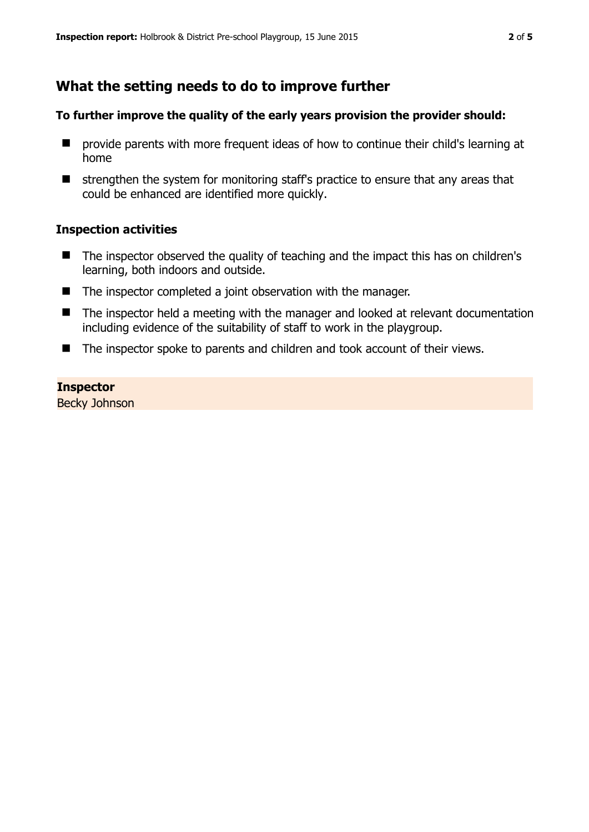# **What the setting needs to do to improve further**

#### **To further improve the quality of the early years provision the provider should:**

- **E** provide parents with more frequent ideas of how to continue their child's learning at home
- $\blacksquare$  strengthen the system for monitoring staff's practice to ensure that any areas that could be enhanced are identified more quickly.

#### **Inspection activities**

- The inspector observed the quality of teaching and the impact this has on children's learning, both indoors and outside.
- The inspector completed a joint observation with the manager.
- The inspector held a meeting with the manager and looked at relevant documentation including evidence of the suitability of staff to work in the playgroup.
- The inspector spoke to parents and children and took account of their views.

#### **Inspector**

Becky Johnson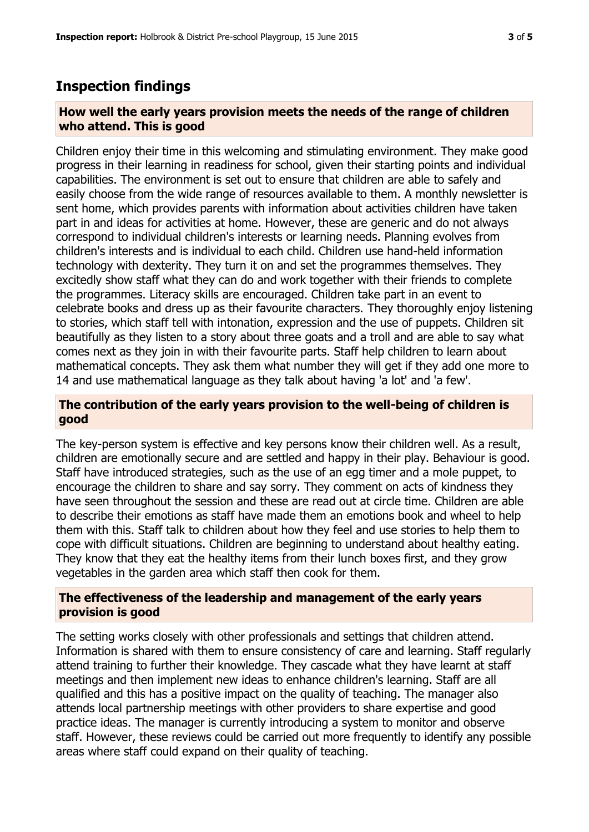## **Inspection findings**

#### **How well the early years provision meets the needs of the range of children who attend. This is good**

Children enjoy their time in this welcoming and stimulating environment. They make good progress in their learning in readiness for school, given their starting points and individual capabilities. The environment is set out to ensure that children are able to safely and easily choose from the wide range of resources available to them. A monthly newsletter is sent home, which provides parents with information about activities children have taken part in and ideas for activities at home. However, these are generic and do not always correspond to individual children's interests or learning needs. Planning evolves from children's interests and is individual to each child. Children use hand-held information technology with dexterity. They turn it on and set the programmes themselves. They excitedly show staff what they can do and work together with their friends to complete the programmes. Literacy skills are encouraged. Children take part in an event to celebrate books and dress up as their favourite characters. They thoroughly enjoy listening to stories, which staff tell with intonation, expression and the use of puppets. Children sit beautifully as they listen to a story about three goats and a troll and are able to say what comes next as they join in with their favourite parts. Staff help children to learn about mathematical concepts. They ask them what number they will get if they add one more to 14 and use mathematical language as they talk about having 'a lot' and 'a few'.

### **The contribution of the early years provision to the well-being of children is good**

The key-person system is effective and key persons know their children well. As a result, children are emotionally secure and are settled and happy in their play. Behaviour is good. Staff have introduced strategies, such as the use of an egg timer and a mole puppet, to encourage the children to share and say sorry. They comment on acts of kindness they have seen throughout the session and these are read out at circle time. Children are able to describe their emotions as staff have made them an emotions book and wheel to help them with this. Staff talk to children about how they feel and use stories to help them to cope with difficult situations. Children are beginning to understand about healthy eating. They know that they eat the healthy items from their lunch boxes first, and they grow vegetables in the garden area which staff then cook for them.

#### **The effectiveness of the leadership and management of the early years provision is good**

The setting works closely with other professionals and settings that children attend. Information is shared with them to ensure consistency of care and learning. Staff regularly attend training to further their knowledge. They cascade what they have learnt at staff meetings and then implement new ideas to enhance children's learning. Staff are all qualified and this has a positive impact on the quality of teaching. The manager also attends local partnership meetings with other providers to share expertise and good practice ideas. The manager is currently introducing a system to monitor and observe staff. However, these reviews could be carried out more frequently to identify any possible areas where staff could expand on their quality of teaching.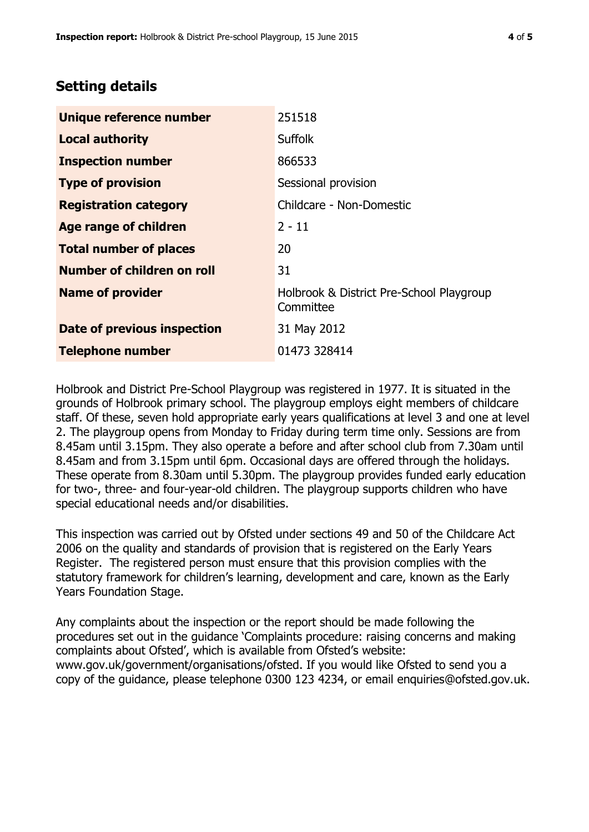# **Setting details**

| Unique reference number       | 251518                                                |  |
|-------------------------------|-------------------------------------------------------|--|
| <b>Local authority</b>        | <b>Suffolk</b>                                        |  |
| <b>Inspection number</b>      | 866533                                                |  |
| <b>Type of provision</b>      | Sessional provision                                   |  |
| <b>Registration category</b>  | Childcare - Non-Domestic                              |  |
| Age range of children         | $2 - 11$                                              |  |
| <b>Total number of places</b> | 20                                                    |  |
| Number of children on roll    | 31                                                    |  |
| <b>Name of provider</b>       | Holbrook & District Pre-School Playgroup<br>Committee |  |
| Date of previous inspection   | 31 May 2012                                           |  |
| <b>Telephone number</b>       | 01473 328414                                          |  |

Holbrook and District Pre-School Playgroup was registered in 1977. It is situated in the grounds of Holbrook primary school. The playgroup employs eight members of childcare staff. Of these, seven hold appropriate early years qualifications at level 3 and one at level 2. The playgroup opens from Monday to Friday during term time only. Sessions are from 8.45am until 3.15pm. They also operate a before and after school club from 7.30am until 8.45am and from 3.15pm until 6pm. Occasional days are offered through the holidays. These operate from 8.30am until 5.30pm. The playgroup provides funded early education for two-, three- and four-year-old children. The playgroup supports children who have special educational needs and/or disabilities.

This inspection was carried out by Ofsted under sections 49 and 50 of the Childcare Act 2006 on the quality and standards of provision that is registered on the Early Years Register. The registered person must ensure that this provision complies with the statutory framework for children's learning, development and care, known as the Early Years Foundation Stage.

Any complaints about the inspection or the report should be made following the procedures set out in the guidance 'Complaints procedure: raising concerns and making complaints about Ofsted', which is available from Ofsted's website: www.gov.uk/government/organisations/ofsted. If you would like Ofsted to send you a copy of the guidance, please telephone 0300 123 4234, or email enquiries@ofsted.gov.uk.